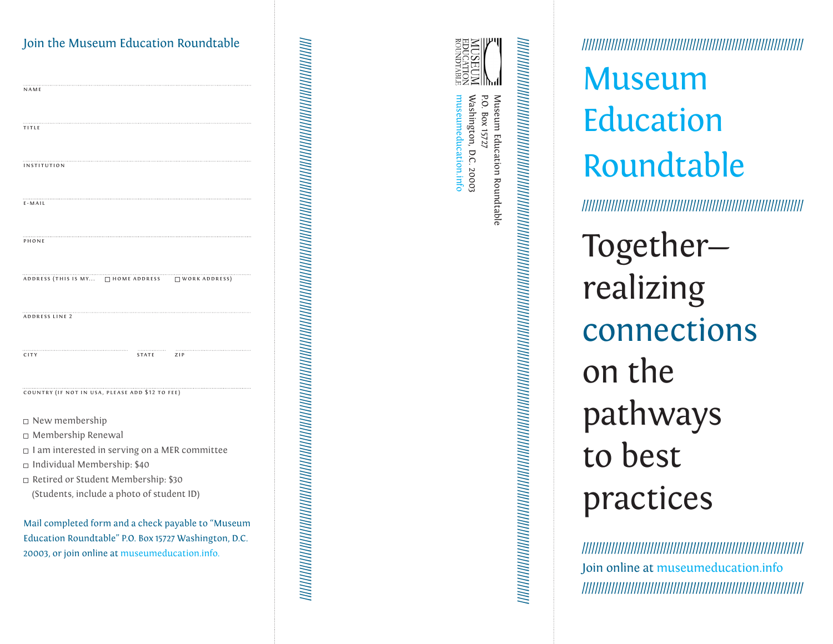| Join the Museum Education Roundtable                                 |
|----------------------------------------------------------------------|
| NAME                                                                 |
| TITLE                                                                |
| <b>INSTITUTION</b>                                                   |
| $E - M AIL$                                                          |
| PHONE                                                                |
| ADDRESS (THIS IS MY □ HOME ADDRESS   □ WORK ADDRESS)                 |
| ADDRESS LINE 2                                                       |
| <br>STATE<br>ZIP<br>CITY                                             |
| COUNTRY (IF NOT IN USA, PLEASE ADD \$12 TO FEE)                      |
| □ New membership                                                     |
| □ Membership Renewal                                                 |
| $\Box$ I am interested in serving on a MER committee                 |
| □ Individual Membership: \$40<br>Retired or Student Membership: \$30 |
| (Students, include a photo of student ID)                            |
| Mail completed form and a check payable to "Museum                   |
| Education Roundtable" P.O. Box 15727 Washington, D.C.                |
| 20003, or join online at museumeducation.info.                       |

| Ξ                        |
|--------------------------|
|                          |
|                          |
|                          |
|                          |
|                          |
| í<br>í                   |
| í<br>í                   |
|                          |
| ׇ֦֧ׅ֚֝                   |
|                          |
|                          |
|                          |
|                          |
|                          |
|                          |
| í<br>ï                   |
| ï<br>í                   |
|                          |
|                          |
|                          |
|                          |
|                          |
|                          |
|                          |
| í                        |
| ׇ֦֚                      |
| $\ddot{\phantom{a}}$     |
|                          |
|                          |
|                          |
|                          |
|                          |
|                          |
|                          |
| í<br>ï                   |
| ï                        |
| í                        |
|                          |
|                          |
|                          |
|                          |
|                          |
|                          |
|                          |
| í<br>ï                   |
| ï                        |
| $\overline{\phantom{a}}$ |
|                          |
|                          |
|                          |
|                          |
|                          |
|                          |
| í                        |
| ï<br>ï                   |
| í                        |
|                          |
|                          |
|                          |
|                          |
|                          |
|                          |
|                          |
| í                        |
|                          |
| í                        |
| í<br>֘֝֬                 |
|                          |
|                          |
|                          |
|                          |
|                          |
|                          |
|                          |
| ı<br>ï                   |
| ï<br>í                   |
|                          |
|                          |
|                          |
|                          |
|                          |
|                          |
|                          |
|                          |
| í<br>ï                   |
| ï                        |
|                          |
| Ì<br>Ξ                   |
|                          |
|                          |
|                          |
|                          |
|                          |
|                          |
|                          |
|                          |
|                          |
|                          |
|                          |
|                          |
|                          |
|                          |
|                          |
| I                        |
| ï<br>í<br>í              |
|                          |



никинин катары катары катары катары катары катары катары катары катары катары катары катары катары катары ката //////////////////////////////////////////////////////////////////////////////////////////////////////////////////////////////////////////////////////////////////////////////

Washington, D.C. 20003 Museum Education Roundtable<br>P.O. Box 15727 museumeducation.info museumeducation.info Washington, D.C. 20003 P.O. Box 15727 Museum Education Roundtable

////////////////////////////////////////////////////////////////////

# Museum Education Roundtable

////////////////////////////////////////////////////////////////////

Together realizing connections on the pathways to best practices

//////////////////////////////////////////////////////////////////// Join online at museumeducation.info ////////////////////////////////////////////////////////////////////